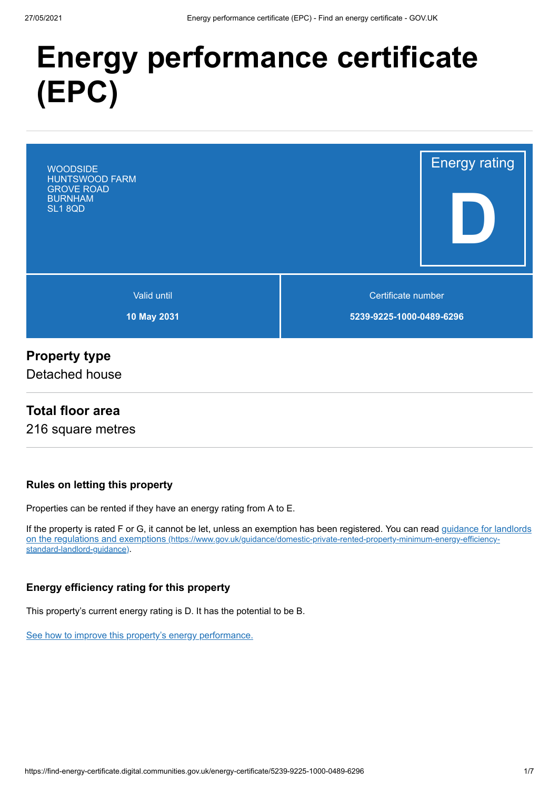# **Energy performance certificate (EPC)**



## **Property type**

Detached house

## **Total floor area**

216 square metres

#### **Rules on letting this property**

Properties can be rented if they have an energy rating from A to E.

[If the property is rated F or G, it cannot be let, unless an exemption has been registered. You can read guidance for landlords](https://www.gov.uk/guidance/domestic-private-rented-property-minimum-energy-efficiency-standard-landlord-guidance) on the regulations and exemptions (https://www.gov.uk/guidance/domestic-private-rented-property-minimum-energy-efficiencystandard-landlord-guidance).

#### **Energy efficiency rating for this property**

This property's current energy rating is D. It has the potential to be B.

[See how to improve this property's energy performance.](#page-3-0)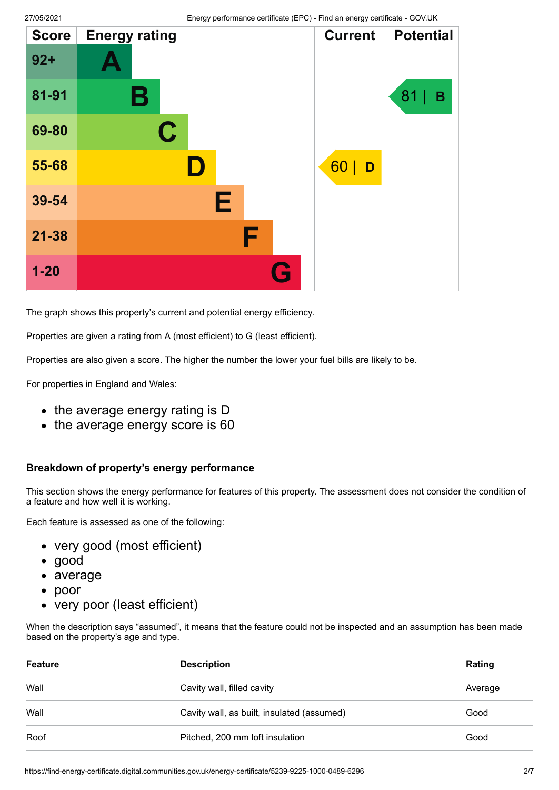| <b>Score</b> | <b>Energy rating</b> | <b>Current</b> | <b>Potential</b> |
|--------------|----------------------|----------------|------------------|
| $92 +$       |                      |                |                  |
| 81-91        | Β                    |                | 81<br>B          |
| 69-80        | $\mathbf C$          |                |                  |
| 55-68        | D                    | 60<br>D        |                  |
| 39-54        | Е                    |                |                  |
| $21 - 38$    | F                    |                |                  |
| $1 - 20$     | G                    |                |                  |

The graph shows this property's current and potential energy efficiency.

Properties are given a rating from A (most efficient) to G (least efficient).

Properties are also given a score. The higher the number the lower your fuel bills are likely to be.

For properties in England and Wales:

- the average energy rating is D
- the average energy score is 60

#### **Breakdown of property's energy performance**

This section shows the energy performance for features of this property. The assessment does not consider the condition of a feature and how well it is working.

Each feature is assessed as one of the following:

- very good (most efficient)
- good
- average
- poor  $\bullet$
- very poor (least efficient)

When the description says "assumed", it means that the feature could not be inspected and an assumption has been made based on the property's age and type.

| Feature | <b>Description</b>                         | Rating  |
|---------|--------------------------------------------|---------|
| Wall    | Cavity wall, filled cavity                 | Average |
| Wall    | Cavity wall, as built, insulated (assumed) | Good    |
| Roof    | Pitched, 200 mm loft insulation            | Good    |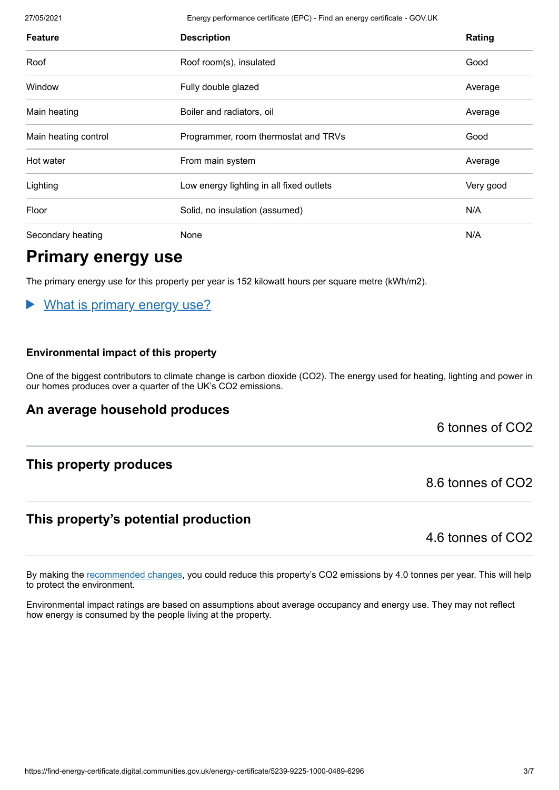27/05/2021 Energy performance certificate (EPC) - Find an energy certificate - GOV.UK

| <b>Feature</b>       | <b>Description</b>                       | Rating    |
|----------------------|------------------------------------------|-----------|
| Roof                 | Roof room(s), insulated                  | Good      |
| Window               | Fully double glazed                      | Average   |
| Main heating         | Boiler and radiators, oil                | Average   |
| Main heating control | Programmer, room thermostat and TRVs     | Good      |
| Hot water            | From main system                         | Average   |
| Lighting             | Low energy lighting in all fixed outlets | Very good |
| Floor                | Solid, no insulation (assumed)           | N/A       |
| Secondary heating    | None                                     | N/A       |

# **Primary energy use**

The primary energy use for this property per year is 152 kilowatt hours per square metre (kWh/m2).

#### What is primary energy use?  $\blacktriangleright$

#### **Environmental impact of this property**

One of the biggest contributors to climate change is carbon dioxide (CO2). The energy used for heating, lighting and power in our homes produces over a quarter of the UK's CO2 emissions.

## **An average household produces**

6 tonnes of CO2

## **This property produces**

## **This property's potential production**

4.6 tonnes of CO2

8.6 tonnes of CO2

By making the [recommended changes](#page-3-0), you could reduce this property's CO2 emissions by 4.0 tonnes per year. This will help to protect the environment.

Environmental impact ratings are based on assumptions about average occupancy and energy use. They may not reflect how energy is consumed by the people living at the property.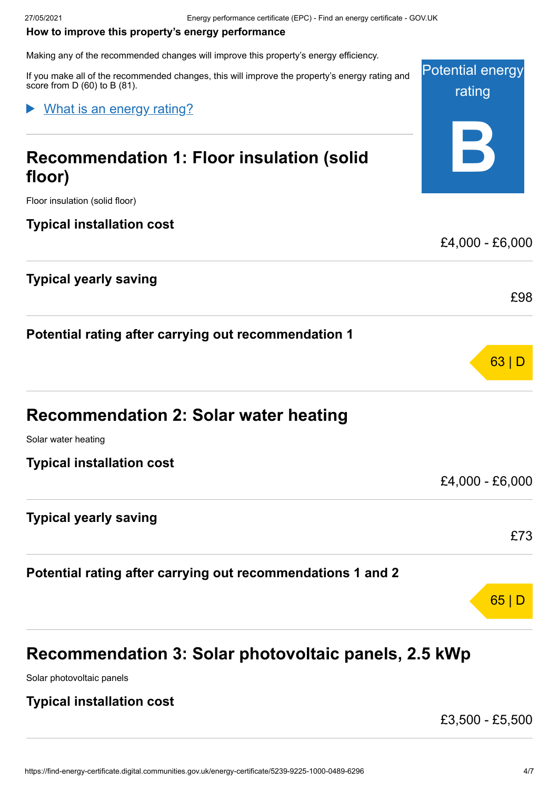#### <span id="page-3-0"></span>**How to improve this property's energy performance**

Making any of the recommended changes will improve this property's energy efficiency.

Potential energy rating **B** If you make all of the recommended changes, this will improve the property's energy rating and score from D (60) to B (81). **Recommendation 1: Floor insulation (solid floor)** Floor insulation (solid floor) **Typical installation cost** £4,000 - £6,000 **Typical yearly saving** £98 **Potential rating after carrying out recommendation 1** 63 | D **Recommendation 2: Solar water heating** Solar water heating **Typical installation cost** What is an energy rating?

**Typical yearly saving**

**Potential rating after carrying out recommendations 1 and 2**



# **Recommendation 3: Solar photovoltaic panels, 2.5 kWp**

Solar photovoltaic panels

## **Typical installation cost**

£3,500 - £5,500

£4,000 - £6,000

£73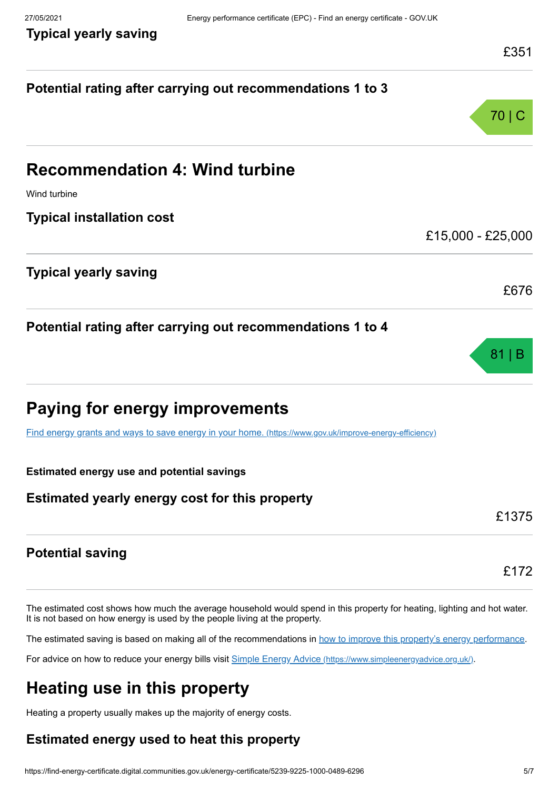**Typical yearly saving**

| Potential rating after carrying out recommendations 1 to 3                                                                                       |       |
|--------------------------------------------------------------------------------------------------------------------------------------------------|-------|
|                                                                                                                                                  | 70 I  |
| <b>Recommendation 4: Wind turbine</b>                                                                                                            |       |
| Wind turbine                                                                                                                                     |       |
| <b>Typical installation cost</b>                                                                                                                 |       |
| £15,000 - £25,000                                                                                                                                |       |
| <b>Typical yearly saving</b>                                                                                                                     | £676  |
| Potential rating after carrying out recommendations 1 to 4                                                                                       | 81    |
| <b>Paying for energy improvements</b><br>Find energy grants and ways to save energy in your home. (https://www.gov.uk/improve-energy-efficiency) |       |
| <b>Estimated energy use and potential savings</b>                                                                                                |       |
| Estimated yearly energy cost for this property                                                                                                   | £1375 |
| <b>Potential saving</b>                                                                                                                          | £172  |

The estimated cost shows how much the average household would spend in this property for heating, lighting and hot water. It is not based on how energy is used by the people living at the property.

The estimated saving is based on making all of the recommendations in [how to improve this property's energy performance.](#page-3-0)

For advice on how to reduce your energy bills visit Simple Energy Advice [\(https://www.simpleenergyadvice.org.uk/\)](https://www.simpleenergyadvice.org.uk/).

# **Heating use in this property**

Heating a property usually makes up the majority of energy costs.

## **Estimated energy used to heat this property**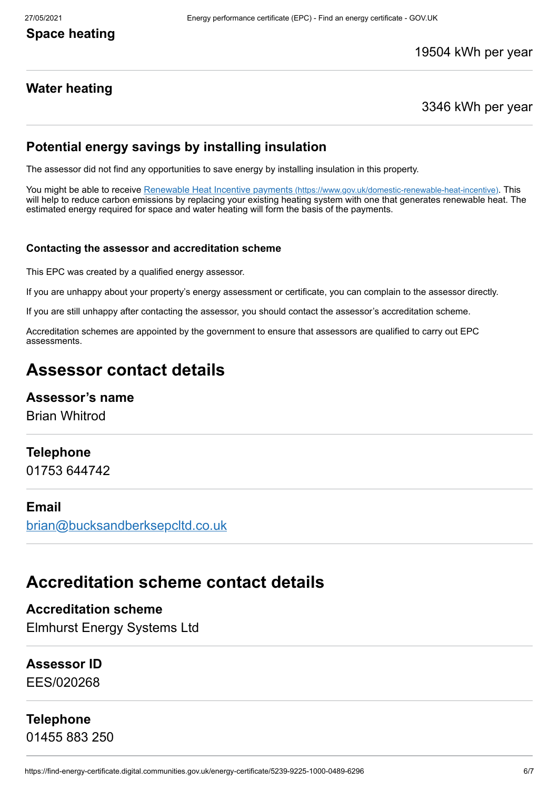## **Space heating**

## **Water heating**

#### 3346 kWh per year

## **Potential energy savings by installing insulation**

The assessor did not find any opportunities to save energy by installing insulation in this property.

You might be able to receive Renewable Heat Incentive payments [\(https://www.gov.uk/domestic-renewable-heat-incentive\)](https://www.gov.uk/domestic-renewable-heat-incentive). This will help to reduce carbon emissions by replacing your existing heating system with one that generates renewable heat. The estimated energy required for space and water heating will form the basis of the payments.

#### **Contacting the assessor and accreditation scheme**

This EPC was created by a qualified energy assessor.

If you are unhappy about your property's energy assessment or certificate, you can complain to the assessor directly.

If you are still unhappy after contacting the assessor, you should contact the assessor's accreditation scheme.

Accreditation schemes are appointed by the government to ensure that assessors are qualified to carry out EPC assessments.

# **Assessor contact details**

### **Assessor's name**

Brian Whitrod

#### **Telephone**

01753 644742

#### **Email**

[brian@bucksandberksepcltd.co.uk](mailto:brian@bucksandberksepcltd.co.uk)

## **Accreditation scheme contact details**

**Accreditation scheme** Elmhurst Energy Systems Ltd

### **Assessor ID**

EES/020268

### **Telephone**

01455 883 250